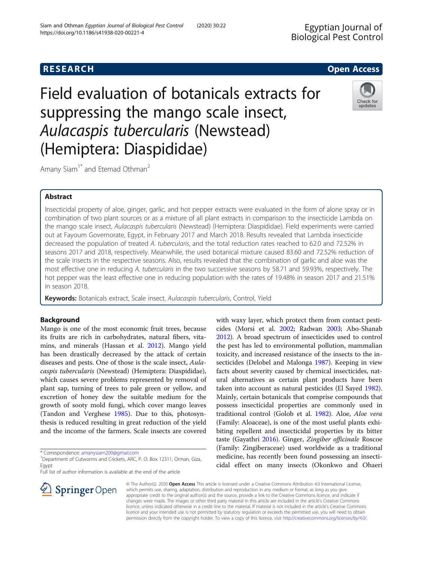https://doi.org/10.1186/s41938-020-00221-4

Siam and Othman Egyptian Journal of Biological Pest Control (2020) 30:22

Ingiral Pest Control

Field evaluation of botanicals extracts for suppressing the mango scale insect, Aulacaspis tubercularis (Newstead) (Hemiptera: Diaspididae)



Amany Siam<sup>1\*</sup> and Etemad Othman<sup>2</sup>

# Abstract

Insecticidal property of aloe, ginger, garlic, and hot pepper extracts were evaluated in the form of alone spray or in combination of two plant sources or as a mixture of all plant extracts in comparison to the insecticide Lambda on the mango scale insect, Aulacaspis tubercularis (Newstead) (Hemiptera: Diaspididae). Field experiments were carried out at Fayoum Governorate, Egypt, in February 2017 and March 2018. Results revealed that Lambda insecticide decreased the population of treated A. tubercularis, and the total reduction rates reached to 62.0 and 72.52% in seasons 2017 and 2018, respectively. Meanwhile, the used botanical mixture caused 83.60 and 72.52% reduction of the scale insects in the respective seasons. Also, results revealed that the combination of garlic and aloe was the most effective one in reducing A. tubercularis in the two successive seasons by 58.71 and 59.93%, respectively. The hot pepper was the least effective one in reducing population with the rates of 19.48% in season 2017 and 21.51% in season 2018.

Keywords: Botanicals extract, Scale insect, Aulacaspis tubercularis, Control, Yield

# Background

Mango is one of the most economic fruit trees, because its fruits are rich in carbohydrates, natural fibers, vitamins, and minerals (Hassan et al. [2012](#page-4-0)). Mango yield has been drastically decreased by the attack of certain diseases and pests. One of those is the scale insect, Aulacaspis tubercularis (Newstead) (Hemiptera: Diaspididae), which causes severe problems represented by removal of plant sap, turning of trees to pale green or yellow, and excretion of honey dew the suitable medium for the growth of sooty mold fungi, which cover mango leaves (Tandon and Verghese [1985](#page-4-0)). Due to this, photosynthesis is reduced resulting in great reduction of the yield and the income of the farmers. Scale insects are covered

\* Correspondence: [amanysiam200@gmail.com](mailto:amanysiam200@gmail.com) <sup>1</sup>

2 Springer Open

Full list of author information is available at the end of the article



© The Author(s). 2020 Open Access This article is licensed under a Creative Commons Attribution 4.0 International License, which permits use, sharing, adaptation, distribution and reproduction in any medium or format, as long as you give appropriate credit to the original author(s) and the source, provide a link to the Creative Commons licence, and indicate if changes were made. The images or other third party material in this article are included in the article's Creative Commons licence, unless indicated otherwise in a credit line to the material. If material is not included in the article's Creative Commons licence and your intended use is not permitted by statutory regulation or exceeds the permitted use, you will need to obtain permission directly from the copyright holder. To view a copy of this licence, visit <http://creativecommons.org/licenses/by/4.0/>.

<sup>&</sup>lt;sup>1</sup> Department of Cutworms and Crickets, ARC, P. O. Box 12311, Orman, Giza, Egypt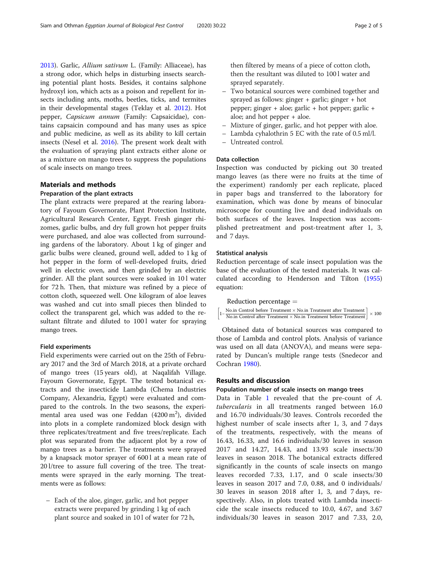[2013](#page-4-0)). Garlic, Allium sativum L. (Family: Alliaceae), has a strong odor, which helps in disturbing insects searching potential plant hosts. Besides, it contains salphone hydroxyl ion, which acts as a poison and repellent for insects including ants, moths, beetles, ticks, and termites in their developmental stages (Teklay et al. [2012\)](#page-4-0). Hot pepper, Capsicum annum (Family: Capsaicidae), contains capsaicin compound and has many uses as spice and public medicine, as well as its ability to kill certain insects (Nesel et al. [2016\)](#page-4-0). The present work dealt with the evaluation of spraying plant extracts either alone or as a mixture on mango trees to suppress the populations of scale insects on mango trees.

### Materials and methods

## Preparation of the plant extracts

The plant extracts were prepared at the rearing laboratory of Fayoum Governorate, Plant Protection Institute, Agricultural Research Center, Egypt. Fresh ginger rhizomes, garlic bulbs, and dry full grown hot pepper fruits were purchased, and aloe was collected from surrounding gardens of the laboratory. About 1 kg of ginger and garlic bulbs were cleaned, ground well, added to 1 kg of hot pepper in the form of well-developed fruits, dried well in electric oven, and then grinded by an electric grinder. All the plant sources were soaked in 101 water for 72 h. Then, that mixture was refined by a piece of cotton cloth, squeezed well. One kilogram of aloe leaves was washed and cut into small pieces then blinded to collect the transparent gel, which was added to the resultant filtrate and diluted to 1001 water for spraying mango trees.

### Field experiments

Field experiments were carried out on the 25th of February 2017 and the 3rd of March 2018, at a private orchard of mango trees (15 years old), at Naqalifah Village. Fayoum Governorate, Egypt. The tested botanical extracts and the insecticide Lambda (Chema Industries Company, Alexandria, Egypt) were evaluated and compared to the controls. In the two seasons, the experimental area used was one Feddan (4200  $\mathrm{m}^2$ ), divided into plots in a complete randomized block design with three replicates/treatment and five trees/replicate. Each plot was separated from the adjacent plot by a row of mango trees as a barrier. The treatments were sprayed by a knapsack motor sprayer of 600 l at a mean rate of 20 l/tree to assure full covering of the tree. The treatments were sprayed in the early morning. The treatments were as follows:

– Each of the aloe, ginger, garlic, and hot pepper extracts were prepared by grinding 1 kg of each plant source and soaked in 10 l of water for 72 h, then filtered by means of a piece of cotton cloth, then the resultant was diluted to 100 l water and sprayed separately.

- Two botanical sources were combined together and sprayed as follows: ginger + garlic; ginger + hot pepper; ginger + aloe; garlic + hot pepper; garlic + aloe; and hot pepper + aloe.
- Mixture of ginger, garlic, and hot pepper with aloe.
- Lambda cyhalothrin 5 EC with the rate of 0.5 ml/l.
- Untreated control.

## Data collection

Inspection was conducted by picking out 30 treated mango leaves (as there were no fruits at the time of the experiment) randomly per each replicate, placed in paper bags and transferred to the laboratory for examination, which was done by means of binocular microscope for counting live and dead individuals on both surfaces of the leaves. Inspection was accomplished pretreatment and post-treatment after 1, 3, and 7 days.

### Statistical analysis

Reduction percentage of scale insect population was the base of the evaluation of the tested materials. It was calculated according to Henderson and Tilton ([1955](#page-4-0)) equation:

Reduction percentage  $=$ 1− No.in Control before Treatment × No.in Treatment after Treatment<br>1 - No.in Control Control Control in Treatment before Treatment  $\left[1-\frac{\text{No.in Control before Treatment}\times \text{No.in Treatment after Treatment}}{\text{No.in Control after Treatment}\times \text{No.in Treatment before Treatment}}\right]\times$  $\times$  100

Obtained data of botanical sources was compared to those of Lambda and control plots. Analysis of variance was used on all data (ANOVA), and means were separated by Duncan's multiple range tests (Snedecor and Cochran [1980](#page-4-0)).

### Results and discussion

### Population number of scale insects on mango trees

Data in Table [1](#page-2-0) revealed that the pre-count of A. tubercularis in all treatments ranged between 16.0 and 16.70 individuals/30 leaves. Controls recorded the highest number of scale insects after 1, 3, and 7 days of the treatments, respectively, with the means of 16.43, 16.33, and 16.6 individuals/30 leaves in season 2017 and 14.27, 14.43, and 13.93 scale insects/30 leaves in season 2018. The botanical extracts differed significantly in the counts of scale insects on mango leaves recorded 7.33, 1.17, and 0 scale insects/30 leaves in season 2017 and 7.0, 0.88, and 0 individuals/ 30 leaves in season 2018 after 1, 3, and 7 days, respectively. Also, in plots treated with Lambda insecticide the scale insects reduced to 10.0, 4.67, and 3.67 individuals/30 leaves in season 2017 and 7.33, 2.0,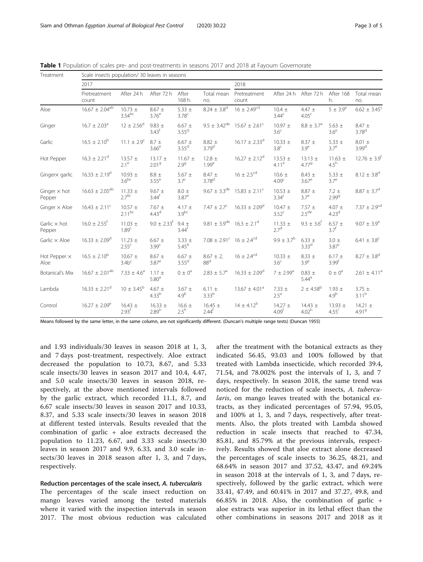| Treatment                     | Scale insects population/ 30 leaves in seasons |                                  |                                  |                                 |                                                        |                               |                                  |                                  |                                    |                                  |
|-------------------------------|------------------------------------------------|----------------------------------|----------------------------------|---------------------------------|--------------------------------------------------------|-------------------------------|----------------------------------|----------------------------------|------------------------------------|----------------------------------|
|                               | 2017                                           |                                  |                                  |                                 |                                                        | 2018                          |                                  |                                  |                                    |                                  |
|                               | Pretreatment<br>count                          | After 24 h                       | After 72 h                       | After<br>168 h.                 | Total mean<br>no.                                      | Pretreatment<br>count         |                                  | After 24 h After 72 h            | After 168<br>h.                    | Total mean<br>no.                |
| Aloe                          | $16.67 \pm 2.04^{ab}$                          | $10.73 +$<br>$3.54^{bc}$         | $8.67 \pm$<br>3.76 <sup>e</sup>  | 5.33 $\pm$<br>3.78 <sup>c</sup> | $8.24 \pm 3.8^d$                                       | $16 \pm 2.49^{cd}$            | $10.4 \pm$<br>3.44 <sup>c</sup>  | $4.47 +$<br>4.05 <sup>c</sup>    | $5 \pm 3.9^e$                      | $6.62 \pm 3.45^c$                |
| Ginger                        | $16.7 \pm 2.03$ <sup>a</sup>                   | $12 \pm 2.56^{\circ}$            | $9.83 \pm$<br>3.43 <sup>f</sup>  | $6.67 \pm$<br>3.55 <sup>d</sup> | $9.5 \pm 3.42^{\text{de}}$                             | $15.67 \pm 2.61^c$            | $10.97 \pm$<br>3.6 <sup>c</sup>  | $8.8 \pm 3.7^e$                  | 5.63 $\pm$<br>3.6 <sup>e</sup>     | $8.47 \pm$<br>3.78 <sup>d</sup>  |
| Garlic                        | $16.5 \pm 2.10^{b}$                            | $11.1 \pm 2.9^c$                 | $8.7 +$<br>3.66 <sup>e</sup>     | $6.67 \pm$<br>$3.55^{\text{d}}$ | $8.82 \pm$<br>3.79 <sup>d</sup>                        | $16.17 \pm 2.33^{\circ}$      | $10.33 \pm$<br>3.8 <sup>c</sup>  | $8.37 \pm$<br>3.9 <sup>e</sup>   | 5.33 $\pm$<br>$3.7^\mathrm{e}$     | $8.01 \pm$<br>3.99 <sup>d</sup>  |
| Hot Pepper                    | $16.3 \pm 2.21$ <sup>d</sup>                   | $13.57 \pm$<br>$2.1^e$           | $13.17 \pm$<br>2.01 <sup>9</sup> | $11.67 \pm$<br>$2.9^{9}$        | $12.8 \pm$<br>1.99 <sup>e</sup>                        | $16.27 \pm 2.12^d$            | $13.53 \pm$<br>$4.11^e$          | $13.13 \pm$<br>$4.77^{9}$        | $11.63 \pm$<br>$4.5^h$             | $12.76 \pm 3.9$ <sup>t</sup>     |
| Gingerx garlic                | $16.33 \pm 2.19^d$                             | $10.93 \pm$<br>3.6 <sup>bc</sup> | $8.8 \pm$<br>3.55 <sup>e</sup>   | 5.67 $\pm$<br>3.7 <sup>c</sup>  | $8.47 \pm$<br>3.78 <sup>d</sup>                        | $16 \pm 2.5$ <sup>cd</sup>    | $10.6 \pm$<br>4.09 <sup>c</sup>  | $8.43 \pm$<br>$3.67^e$           | 5.33 $\pm$<br>$3.7^\mathrm{e}$     | $8.12 \pm 3.8$ <sup>d</sup>      |
| Ginger $\times$ hot<br>Pepper | $16.63 \pm 2.05^{ab}$                          | $11.33 \pm$<br>$2.7^{6c}$        | $9.67 \pm$<br>$3.44^{\dagger}$   | $8.0 +$<br>$3.87^e$             | $9.67 \pm 3.3^{\text{de}}$                             | $15.83 \pm 2.11^{\circ}$      | $10.53 \pm$<br>$3.34^{c}$        | $8.87 \pm$<br>3.7 <sup>e</sup>   | $7.2 \pm$<br>2.99 <sup>9</sup>     | $8.87 \pm 3.7$ <sup>d</sup>      |
| Ginger $\times$ Aloe          | $16.43 \pm 2.11^{\circ}$                       | $10.57 \pm$<br>$2.11^{bc}$       | $7.67 \pm$<br>4.43 <sup>d</sup>  | 4.17 $\pm$<br>3.9 <sup>bc</sup> | $7.47 \pm 2.7^c$                                       | $16.33 \pm 2.09^{\circ}$      | $10.47 \pm$<br>3.52 <sup>c</sup> | $7.57 \pm$<br>2.5 <sup>de</sup>  | $4.07 \pm$<br>4.23 <sup>d</sup>    | $7.37 \pm 2.9^{cd}$              |
| Garlic $\times$ hot<br>Pepper | $16.0 \pm 2.55$ <sup>f</sup>                   | $11.03 \pm$<br>1.89 <sup>c</sup> | $9.0 \pm 2.33^f$                 | $9.4 +$<br>$3.44^f$             | $9.81 \pm 3.9^{\text{de}}$ 16.3 $\pm$ 2.1 <sup>d</sup> |                               | $11.33 \pm$<br>27 <sup>d</sup>   | $9.3 \pm 3.6$ <sup>t</sup>       | $6.57 \pm$<br>3.7 <sup>f</sup>     | $9.07 \pm 3.9^e$                 |
| Garlic $\times$ Aloe          | $16.33 \pm 2.09^{\circ}$                       | $11.23 \pm$<br>2.55 <sup>c</sup> | $6.67 \pm$<br>3.99 <sup>c</sup>  | $3.33 \pm$<br>$5.45^{b}$        | $7.08 \pm 2.91^{\circ}$ 16 $\pm 2.4^{\circ}$ d         |                               | $9.9 \pm 3.7^{\rm b}$            | $6.33 \pm$<br>3.33 <sup>d</sup>  | $3.0 \pm$<br>3.87 <sup>c</sup>     | $6.41 \pm 3.8^c$                 |
| Hot Pepper x<br>Aloe          | $16.5 \pm 2.10^{b}$                            | $10.67 \pm$<br>3.4b <sup>c</sup> | $8.67 \pm$<br>3.87 <sup>e</sup>  | $6.67 \pm$<br>3.55 <sup>d</sup> | $8.67 \pm 2$ ,<br>88 <sup>d</sup>                      | $16 \pm 2.4^{\text{cd}}$      | $10.33 \pm$<br>3.6 <sup>c</sup>  | $8.33 \pm$<br>$3.9^e$            | $6.17 \pm$<br>3.99 <sup>f</sup>    | $8.27 \pm 3.8^d$                 |
| Botanical's Mix               | $16.67 \pm 2.01^{ab}$                          | 7.33 $\pm$ 4.6 <sup>a</sup>      | $1.17 \pm$<br>5.80 <sup>a</sup>  | $0 \pm 0^a$                     | $2.83 \pm 5.7^a$                                       | $16.33 \pm 2.09^{\circ}$      | $7 \pm 2.99^{\circ}$             | $0.83 \pm$<br>5.44 <sup>a</sup>  | $0 \pm 0^a$                        | $2.61 \pm 4.11^a$                |
| Lambda                        | $16.33 \pm 2.21$ <sup>d</sup>                  | $10 \pm 3.45^{\rm b}$            | $4.67 \pm$<br>4.33 <sup>b</sup>  | $3.67 \pm$<br>4.9 <sup>b</sup>  | $6.11 \pm$<br>3.33 <sup>b</sup>                        | $13.67 \pm 4.01$ <sup>a</sup> | $7.33 \pm$<br>2.5 <sup>a</sup>   | $2 \pm 4.58^{\rm b}$             | $1.93 \pm$<br>4.9 <sup>b</sup>     | $3.75 \pm$<br>$3.11^{b}$         |
| Control                       | $16.27 \pm 2.09^e$                             | $16.43 \pm$<br>2.93 <sup>†</sup> | $16.33 \pm$<br>2.89 <sup>h</sup> | $16.6 \pm$<br>$2.5^h$           | $16.45 \pm$<br>$2.44^{\dagger}$                        | $14 \pm 4.12^{b}$             | $14.27 \pm$<br>4.09 <sup>†</sup> | $14.43 \pm$<br>4.02 <sup>h</sup> | $13.93 \pm$<br>$4.55$ <sup>i</sup> | $14.21 \pm$<br>4.91 <sup>9</sup> |

<span id="page-2-0"></span>Table 1 Population of scales pre- and post-treatments in seasons 2017 and 2018 at Fayoum Governorate

Means followed by the same letter, in the same column, are not significantly different. (Duncan's multiple range tests) (Duncan 1955)

and 1.93 individuals/30 leaves in season 2018 at 1, 3, and 7 days post-treatment, respectively. Aloe extract decreased the population to 10.73, 8.67, and 5.33 scale insects/30 leaves in season 2017 and 10.4, 4.47, and 5.0 scale insects/30 leaves in season 2018, respectively, at the above mentioned intervals followed by the garlic extract, which recorded 11.1, 8.7, and 6.67 scale insects/30 leaves in season 2017 and 10.33, 8.37, and 5.33 scale insects/30 leaves in season 2018 at different tested intervals. Results revealed that the combination of garlic + aloe extracts decreased the population to 11.23, 6.67, and 3.33 scale insects/30 leaves in season 2017 and 9.9, 6.33, and 3.0 scale insects/30 leaves in 2018 season after 1, 3, and 7 days, respectively.

### Reduction percentages of the scale insect, A. tubercularis

The percentages of the scale insect reduction on mango leaves varied among the tested materials where it varied with the inspection intervals in season 2017. The most obvious reduction was calculated after the treatment with the botanical extracts as they indicated 56.45, 93.03 and 100% followed by that treated with Lambda insecticide, which recorded 39.4, 71.54, and 78.002% post the intervals of 1, 3, and 7 days, respectively. In season 2018, the same trend was noticed for the reduction of scale insects, A. tubercularis, on mango leaves treated with the botanical extracts, as they indicated percentages of 57.94, 95.05, and 100% at 1, 3, and 7 days, respectively, after treatments. Also, the plots treated with Lambda showed reduction in scale insects that reached to 47.34, 85.81, and 85.79% at the previous intervals, respectively. Results showed that aloe extract alone decreased the percentages of scale insects to 36.25, 48.21, and 68.64% in season 2017 and 37.52, 43.47, and 69.24% in season 2018 at the intervals of 1, 3, and 7 days, respectively, followed by the garlic extract, which were 33.41, 47.49, and 60.41% in 2017 and 37.27, 49.8, and 66.85% in 2018. Also, the combination of garlic + aloe extracts was superior in its lethal effect than the other combinations in seasons 2017 and 2018 as it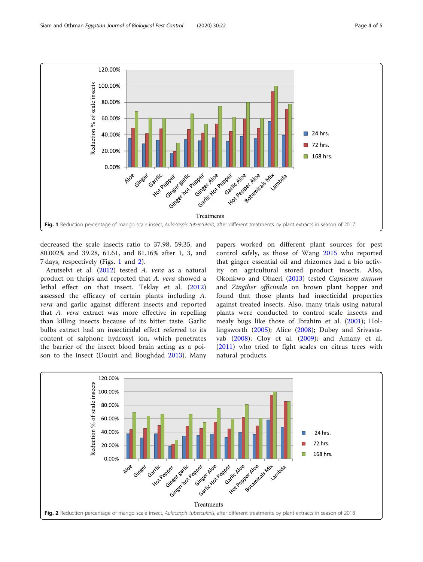

decreased the scale insects ratio to 37.98, 59.35, and 80.002% and 39.28, 61.61, and 81.16% after 1, 3, and 7 days, respectively (Figs. 1 and 2).

Arutselvi et al. ([2012\)](#page-4-0) tested A. vera as a natural product on thrips and reported that A. vera showed a lethal effect on that insect. Teklay et al. [\(2012](#page-4-0)) assessed the efficacy of certain plants including A. vera and garlic against different insects and reported that A. vera extract was more effective in repelling than killing insects because of its bitter taste. Garlic bulbs extract had an insecticidal effect referred to its content of salphone hydroxyl ion, which penetrates the barrier of the insect blood brain acting as a poison to the insect (Douiri and Boughdad [2013\)](#page-4-0). Many

papers worked on different plant sources for pest control safely, as those of Wang [2015](#page-4-0) who reported that ginger essential oil and rhizomes had a bio activity on agricultural stored product insects. Also, Okonkwo and Ohaeri ([2013](#page-4-0)) tested Capsicum annum and Zingiber officinale on brown plant hopper and found that those plants had insecticidal properties against treated insects. Also, many trials using natural plants were conducted to control scale insects and mealy bugs like those of Ibrahim et al. ([2001\)](#page-4-0); Hollingsworth ([2005\)](#page-4-0); Alice ([2008\)](#page-4-0); Dubey and Srivastavab [\(2008](#page-4-0)); Cloy et al. ([2009\)](#page-4-0); and Amany et al. ([2011\)](#page-4-0) who tried to fight scales on citrus trees with natural products.